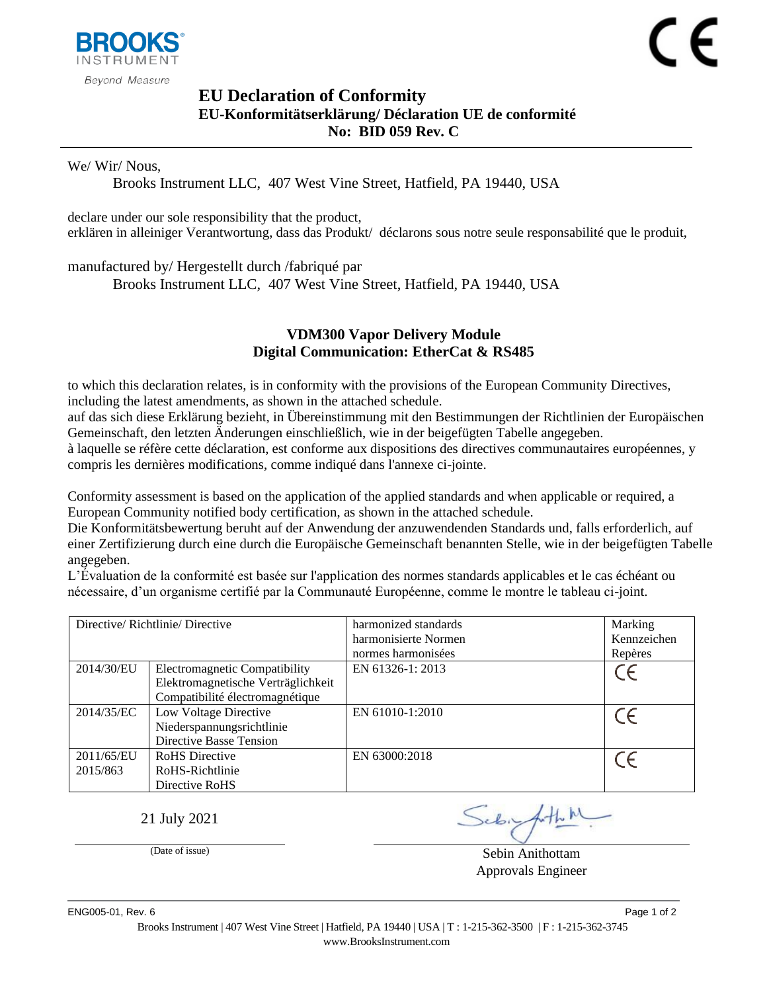

## <span id="page-0-1"></span><span id="page-0-0"></span>**EU Declaration of Conformity EU-Konformitätserklärung/ Déclaration UE de conformité No: BID 059 Rev. C**

We/ Wir/ Nous,

Brooks Instrument LLC, 407 West Vine Street, Hatfield, PA 19440, USA

declare under our sole responsibility that the product, erklären in alleiniger Verantwortung, dass das Produkt/ déclarons sous notre seule responsabilité que le produit,

manufactured by/ Hergestellt durch /fabriqué par

Brooks Instrument LLC, 407 West Vine Street, Hatfield, PA 19440, USA

## <span id="page-0-2"></span>**VDM300 Vapor Delivery Module Digital Communication: EtherCat & RS485**

to which this declaration relates, is in conformity with the provisions of the European Community Directives, including the latest amendments, as shown in the attached schedule.

auf das sich diese Erklärung bezieht, in Übereinstimmung mit den Bestimmungen der Richtlinien der Europäischen Gemeinschaft, den letzten Änderungen einschließlich, wie in der beigefügten Tabelle angegeben.

à laquelle se réfère cette déclaration, est conforme aux dispositions des directives communautaires européennes, y compris les dernières modifications, comme indiqué dans l'annexe ci-jointe.

Conformity assessment is based on the application of the applied standards and when applicable or required, a European Community notified body certification, as shown in the attached schedule.

Die Konformitätsbewertung beruht auf der Anwendung der anzuwendenden Standards und, falls erforderlich, auf einer Zertifizierung durch eine durch die Europäische Gemeinschaft benannten Stelle, wie in der beigefügten Tabelle angegeben.

L'Évaluation de la conformité est basée sur l'application des normes standards applicables et le cas échéant ou nécessaire, d'un organisme certifié par la Communauté Européenne, comme le montre le tableau ci-joint.

| Directive/Richtlinie/Directive |                                                                                                               | harmonized standards<br>harmonisierte Normen<br>normes harmonisées | Marking<br>Kennzeichen<br>Repères |
|--------------------------------|---------------------------------------------------------------------------------------------------------------|--------------------------------------------------------------------|-----------------------------------|
| 2014/30/EU                     | <b>Electromagnetic Compatibility</b><br>Elektromagnetische Verträglichkeit<br>Compatibilité électromagnétique | EN 61326-1: 2013                                                   |                                   |
| 2014/35/EC                     | Low Voltage Directive<br>Niederspannungsrichtlinie<br>Directive Basse Tension                                 | EN 61010-1:2010                                                    |                                   |
| 2011/65/EU<br>2015/863         | <b>RoHS</b> Directive<br>RoHS-Richtlinie<br>Directive RoHS                                                    | EN 63000:2018                                                      |                                   |

21 July 2021

(Date of issue) Sebin Anithottam Approvals Engineer

ENG005-01. Rev. 6 Page 1 of 2